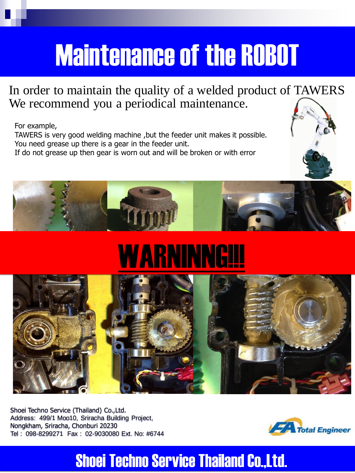## Maintenance of the ROBOT

In order to maintain the quality of a welded product of TAWERS We recommend you a periodical maintenance.

For example,

TAWERS is very good welding machine ,but the feeder unit makes it possible. You need grease up there is a gear in the feeder unit. If do not grease up then gear is worn out and will be broken or with error



# WARNINNG!!!



Shoei Techno Service (Thailand) Co.,Ltd. Address: 499/1 Moo10, Sriracha Building Project, Nongkham, Sriracha, Chonburi 20230 Tel : 098-8299271 Fax : 02-9030080 Ext. No: #6744



### Shoei Techno Service Thailand Co.,Ltd.